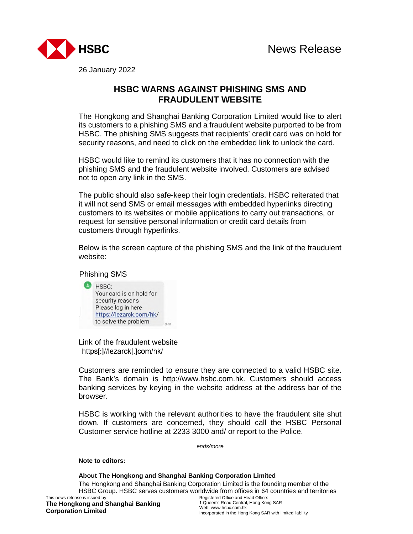

26 January 2022

## **HSBC WARNS AGAINST PHISHING SMS AND FRAUDULENT WEBSITE**

The Hongkong and Shanghai Banking Corporation Limited would like to alert its customers to a phishing SMS and a fraudulent website purported to be from HSBC. The phishing SMS suggests that recipients' credit card was on hold for security reasons, and need to click on the embedded link to unlock the card.

HSBC would like to remind its customers that it has no connection with the phishing SMS and the fraudulent website involved. Customers are advised not to open any link in the SMS.

The public should also safe-keep their login credentials. HSBC reiterated that it will not send SMS or email messages with embedded hyperlinks directing customers to its websites or mobile applications to carry out transactions, or request for sensitive personal information or credit card details from customers through hyperlinks.

Below is the screen capture of the phishing SMS and the link of the fraudulent website:

Phishing SMS



Link of the fraudulent website https[:]//lezarck[.]com/hk/

Customers are reminded to ensure they are connected to a valid HSBC site. The Bank's domain is http://www.hsbc.com.hk. Customers should access banking services by keying in the website address at the address bar of the browser.

HSBC is working with the relevant authorities to have the fraudulent site shut down. If customers are concerned, they should call the HSBC Personal Customer service hotline at 2233 3000 and/ or report to the Police.

*ends/more* 

## **Note to editors:**

## **About The Hongkong and Shanghai Banking Corporation Limited**

This news release is issued by Registered Office and Head Office: The Hongkong and Shanghai Banking Corporation Limited is the founding member of the HSBC Group. HSBC serves customers worldwide from offices in 64 countries and territories

**The Hongkong and Shanghai Banking Corporation Limited**

1 Queen's Road Central, Hong Kong SAR Web: www.hsbc.com.hk Incorporated in the Hong Kong SAR with limited liability